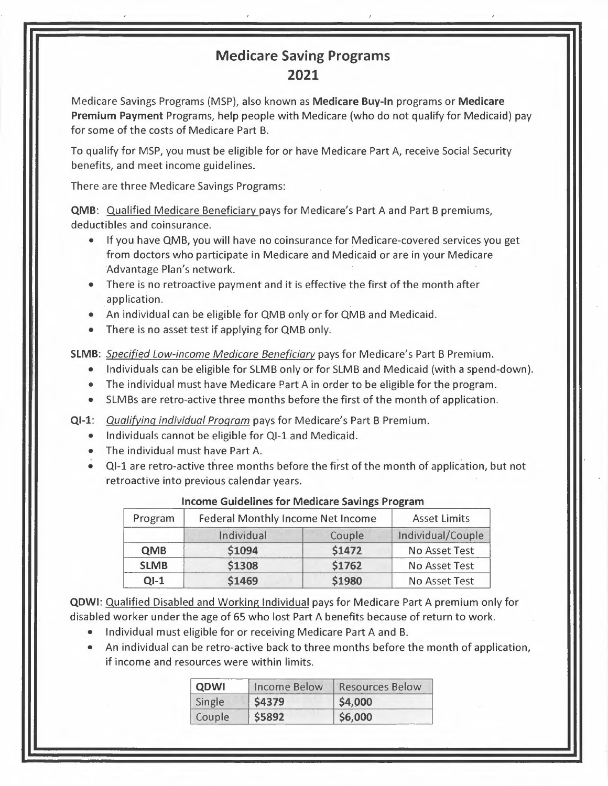## **Medicare Saving Programs 2021**

Medicare Savings Programs (MSP), also known as **Medicare Buy-In** programs or **Medicare Premium Payment** Programs, help people with Medicare (who do not qualify for Medicaid) pay for some of the costs of Medicare Part B.

To qualify for MSP, you must be eligible for or have Medicare Part A, receive Social Security benefits, and meet income guidelines.

There are three Medicare Savings Programs:

**QMB:** Qualified Medicare Beneficiary pays for Medicare's Part A and Part B premiums, deductibles and coinsurance.

- If you have QMB, you will have no coinsurance for Medicare-covered services you get from doctors who participate in Medicare and Medicaid or are in your Medicare Advantage Plan's network.
- There is no retroactive payment and it is effective the first of the month after . application. .
- An individual can be eligible for QMB only or for QMB and Medicaid.
- There is no asset test if applying for QMB only.

**SLMB:** *Specified Low-income Medicare Beneficiary* pays for Medicare's Part B Premium.

- Individuals can be eligible for SLMB only or for SLMB and Medicaid (with a spend-down).
- The individual must have Medicare Part A in order to be eligible for the program.
- SLMBs are retro-active three months before the first of the month of application.
- **Ql-1:** *Qualifying individual Program* pays for Medicare's Part B Premium.
	- Individuals cannot be eligible for Ql-1 and Medicaid.
	- The individual must have Part A.
	- Ql-1 are retro-active three months before the first of the month of application, but not retroactive into previous calendar years.

| Program     | <b>Federal Monthly Income Net Income</b> |        | <b>Asset Limits</b>  |
|-------------|------------------------------------------|--------|----------------------|
|             | Individual                               | Couple | Individual/Couple    |
| <b>QMB</b>  | <b>\$1094</b>                            | \$1472 | No Asset Test        |
| <b>SLMB</b> | \$1308                                   | \$1762 | <b>No Asset Test</b> |
| $Q1-1$      | \$1469                                   | \$1980 | No Asset Test        |

## **Income Guidelines for Medicare Savings Program**

**QDWI:** Qualified Disabled and Working Individual pays for Medicare Part A premium only for disabled worker under the age of 65 who lost Part A benefits because of return to work.

- Individual must eligible for or receiving Medicare Part A and B.
- An individual can be retro-active back to three months before the month of application, if income and resources were within limits.

| ODWI          | Income Below | Resources Below |
|---------------|--------------|-----------------|
| <b>Single</b> |              | \$4,000         |
| Couple        |              | <b>S6,000</b>   |